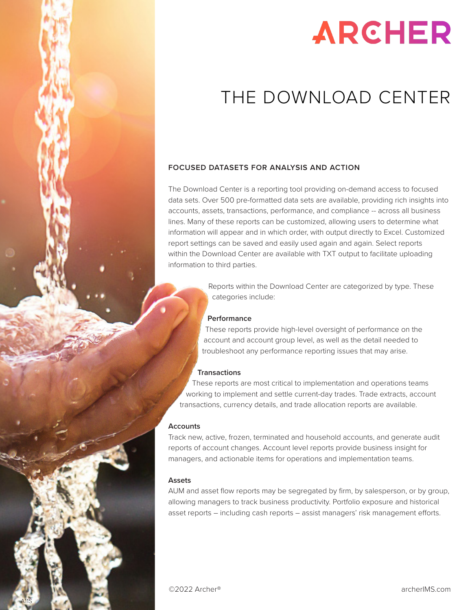

A11S

# **ARCHER**

### THE DOWNLOAD CENTER

#### **FOCUSED DATASETS FOR ANALYSIS AND ACTION**

The Download Center is a reporting tool providing on-demand access to focused data sets. Over 500 pre-formatted data sets are available, providing rich insights into accounts, assets, transactions, performance, and compliance -- across all business lines. Many of these reports can be customized, allowing users to determine what information will appear and in which order, with output directly to Excel. Customized report settings can be saved and easily used again and again. Select reports within the Download Center are available with TXT output to facilitate uploading information to third parties.

> Reports within the Download Center are categorized by type. These categories include:

#### **Performance**

These reports provide high-level oversight of performance on the account and account group level, as well as the detail needed to troubleshoot any performance reporting issues that may arise.

#### **Transactions**

These reports are most critical to implementation and operations teams working to implement and settle current-day trades. Trade extracts, account transactions, currency details, and trade allocation reports are available.

#### **Accounts**

Track new, active, frozen, terminated and household accounts, and generate audit reports of account changes. Account level reports provide business insight for managers, and actionable items for operations and implementation teams.

#### **Assets**

AUM and asset flow reports may be segregated by firm, by salesperson, or by group, allowing managers to track business productivity. Portfolio exposure and historical asset reports – including cash reports – assist managers' risk management efforts.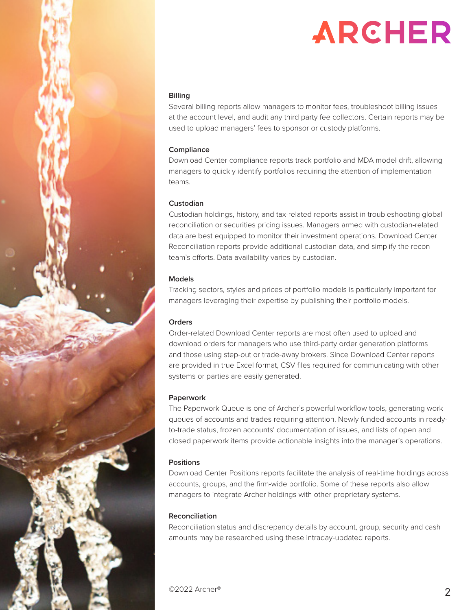

## **ARCHER**

#### **Billing**

Several billing reports allow managers to monitor fees, troubleshoot billing issues at the account level, and audit any third party fee collectors. Certain reports may be used to upload managers' fees to sponsor or custody platforms.

#### **Compliance**

Download Center compliance reports track portfolio and MDA model drift, allowing managers to quickly identify portfolios requiring the attention of implementation teams.

#### **Custodian**

Custodian holdings, history, and tax-related reports assist in troubleshooting global reconciliation or securities pricing issues. Managers armed with custodian-related data are best equipped to monitor their investment operations. Download Center Reconciliation reports provide additional custodian data, and simplify the recon team's efforts. Data availability varies by custodian.

#### **Models**

Tracking sectors, styles and prices of portfolio models is particularly important for managers leveraging their expertise by publishing their portfolio models.

#### **Orders**

Order-related Download Center reports are most often used to upload and download orders for managers who use third-party order generation platforms and those using step-out or trade-away brokers. Since Download Center reports are provided in true Excel format, CSV files required for communicating with other systems or parties are easily generated.

#### **Paperwork**

The Paperwork Queue is one of Archer's powerful workflow tools, generating work queues of accounts and trades requiring attention. Newly funded accounts in readyto-trade status, frozen accounts' documentation of issues, and lists of open and closed paperwork items provide actionable insights into the manager's operations.

#### **Positions**

Download Center Positions reports facilitate the analysis of real-time holdings across accounts, groups, and the firm-wide portfolio. Some of these reports also allow managers to integrate Archer holdings with other proprietary systems.

#### **Reconciliation**

Reconciliation status and discrepancy details by account, group, security and cash amounts may be researched using these intraday-updated reports.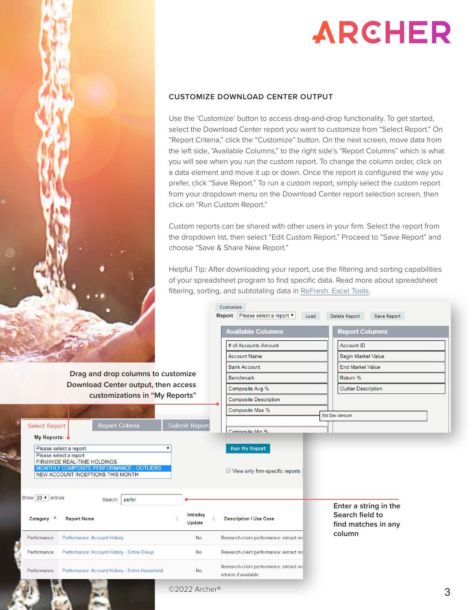

## **ARCHER**

#### **CUSTOMIZE DOWNLOAD CENTER OUTPUT**

Use the 'Customize' button to access drag-and-drop functionality. To get started, select the Download Center report you want to customize from "Select Report." On "Report Criteria," click the "Customize" button. On the next screen, move data from the left side, "Available Columns," to the right side's "Report Columns" which is what you will see when you run the custom report. To change the column order, click on a data element and move it up or down. Once the report is configured the way you prefer, click "Save Report." To run a custom report, simply select the custom report from your dropdown menu on the Download Center report selection screen, then click on "Run Custom Report."

Custom reports can be shared with other users in your firm. Select the report from the dropdown list, then select "Edit Custom Report." Proceed to "Save Report" and choose "Save & Share New Report."

Helpful Tip: After downloading your report, use the filtering and sorting capabilities of your spreadsheet program to find specific data. Read more about spreadsheet filtering, sorting, and subtotaling data in [ReFresh: Excel Tools.](file:https://www.archerims.com/help/documents/ReFresh_Excel_Tools.pdf)

| <b>Select Report</b><br>My Reports:              | <b>B. Harry</b><br>Drag and drop columns to customize<br>Download Center output, then access<br>customizations in "My Reports"<br><b>Report Criteria</b>                | <b>Submit Report</b>      | Customize<br>Report Please select a report ▼<br><b>Available Columns</b><br># of Accounts Amount<br><b>Account Name</b><br><b>Bank Account</b><br><b>Benchmark</b><br>Composite Avg %<br><b>Composite Description</b><br>Composite Max %<br>Composite Min % | Load | Delete Report<br>Save Report<br><b>Report Columns</b><br>Account ID<br><b>Begin Market Value</b><br><b>End Market Value</b><br>Return %<br><b>Outlier Description</b><br><b>Std Dev Amount</b> |  |
|--------------------------------------------------|-------------------------------------------------------------------------------------------------------------------------------------------------------------------------|---------------------------|-------------------------------------------------------------------------------------------------------------------------------------------------------------------------------------------------------------------------------------------------------------|------|------------------------------------------------------------------------------------------------------------------------------------------------------------------------------------------------|--|
|                                                  | Please select a report<br>Please select a report<br><b>FIRMWIDE REAL-TIME HOLDINGS</b><br>MONTHLY COMPOSITE PERFORMANCE - OUTLIERS<br>NEW ACCOUNT INCEPTIONS THIS MONTH |                           | <b>Run My Report</b><br>View only firm-specific reports                                                                                                                                                                                                     |      |                                                                                                                                                                                                |  |
| Show $20 \times$ entries<br>Category $\triangle$ | perfor<br>Search:<br><b>Report Name</b>                                                                                                                                 | Intraday<br><b>Update</b> | <b>Description / Use Case</b>                                                                                                                                                                                                                               |      | Enter a string in the<br>Search field to<br>find matches in any                                                                                                                                |  |
| Performance                                      | <b>Performance: Account History</b>                                                                                                                                     | <b>No</b>                 | Research client performance: extract mc                                                                                                                                                                                                                     |      | column                                                                                                                                                                                         |  |
| Performance                                      | Performance: Account History - Entire Group                                                                                                                             | <b>No</b>                 | Research client performance: extract mc                                                                                                                                                                                                                     |      |                                                                                                                                                                                                |  |
| Performance                                      | Performance: Account History - Entire Household                                                                                                                         | <b>No</b>                 | Research client performance: extract mc<br>returne if available                                                                                                                                                                                             |      |                                                                                                                                                                                                |  |

©2022 Archer®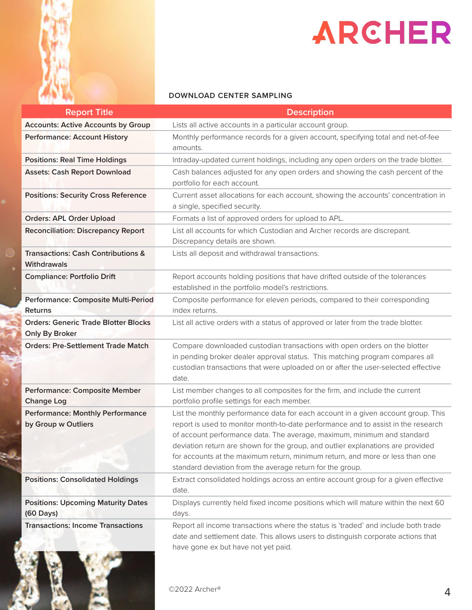

# ARCHER

#### **DOWNLOAD CENTER SAMPLING**

| <b>Report Title</b>                                                 | <b>Description</b>                                                                                                                                                                                                                                                                                                                                                                                                                                                                 |  |  |  |
|---------------------------------------------------------------------|------------------------------------------------------------------------------------------------------------------------------------------------------------------------------------------------------------------------------------------------------------------------------------------------------------------------------------------------------------------------------------------------------------------------------------------------------------------------------------|--|--|--|
| <b>Accounts: Active Accounts by Group</b>                           | Lists all active accounts in a particular account group.                                                                                                                                                                                                                                                                                                                                                                                                                           |  |  |  |
| <b>Performance: Account History</b>                                 | Monthly performance records for a given account, specifying total and net-of-fee<br>amounts.                                                                                                                                                                                                                                                                                                                                                                                       |  |  |  |
| <b>Positions: Real Time Holdings</b>                                | Intraday-updated current holdings, including any open orders on the trade blotter.                                                                                                                                                                                                                                                                                                                                                                                                 |  |  |  |
| <b>Assets: Cash Report Download</b>                                 | Cash balances adjusted for any open orders and showing the cash percent of the<br>portfolio for each account.                                                                                                                                                                                                                                                                                                                                                                      |  |  |  |
| <b>Positions: Security Cross Reference</b>                          | Current asset allocations for each account, showing the accounts' concentration in<br>a single, specified security.                                                                                                                                                                                                                                                                                                                                                                |  |  |  |
| <b>Orders: APL Order Upload</b>                                     | Formats a list of approved orders for upload to APL.                                                                                                                                                                                                                                                                                                                                                                                                                               |  |  |  |
| <b>Reconciliation: Discrepancy Report</b>                           | List all accounts for which Custodian and Archer records are discrepant.<br>Discrepancy details are shown.                                                                                                                                                                                                                                                                                                                                                                         |  |  |  |
| <b>Transactions: Cash Contributions &amp;</b><br><b>Withdrawals</b> | Lists all deposit and withdrawal transactions.                                                                                                                                                                                                                                                                                                                                                                                                                                     |  |  |  |
| <b>Compliance: Portfolio Drift</b>                                  | Report accounts holding positions that have drifted outside of the tolerances<br>established in the portfolio model's restrictions.                                                                                                                                                                                                                                                                                                                                                |  |  |  |
| Performance: Composite Multi-Period<br><b>Returns</b>               | Composite performance for eleven periods, compared to their corresponding<br>index returns.                                                                                                                                                                                                                                                                                                                                                                                        |  |  |  |
| <b>Orders: Generic Trade Blotter Blocks</b><br>Only By Broker       | List all active orders with a status of approved or later from the trade blotter.                                                                                                                                                                                                                                                                                                                                                                                                  |  |  |  |
| <b>Orders: Pre-Settlement Trade Match</b>                           | Compare downloaded custodian transactions with open orders on the blotter<br>in pending broker dealer approval status. This matching program compares all<br>custodian transactions that were uploaded on or after the user-selected effective<br>date.                                                                                                                                                                                                                            |  |  |  |
| <b>Performance: Composite Member</b><br><b>Change Log</b>           | List member changes to all composites for the firm, and include the current<br>portfolio profile settings for each member.                                                                                                                                                                                                                                                                                                                                                         |  |  |  |
| <b>Performance: Monthly Performance</b><br>by Group w Outliers      | List the monthly performance data for each account in a given account group. This<br>report is used to monitor month-to-date performance and to assist in the research<br>of account performance data. The average, maximum, minimum and standard<br>deviation return are shown for the group, and outlier explanations are provided<br>for accounts at the maximum return, minimum return, and more or less than one<br>standard deviation from the average return for the group. |  |  |  |
| <b>Positions: Consolidated Holdings</b>                             | Extract consolidated holdings across an entire account group for a given effective<br>date.                                                                                                                                                                                                                                                                                                                                                                                        |  |  |  |
| <b>Positions: Upcoming Maturity Dates</b><br>$(60 \text{ Days})$    | Displays currently held fixed income positions which will mature within the next 60<br>days.                                                                                                                                                                                                                                                                                                                                                                                       |  |  |  |
| <b>Transactions: Income Transactions</b>                            | Report all income transactions where the status is 'traded' and include both trade<br>date and settlement date. This allows users to distinguish corporate actions that<br>have gone ex but have not yet paid.                                                                                                                                                                                                                                                                     |  |  |  |